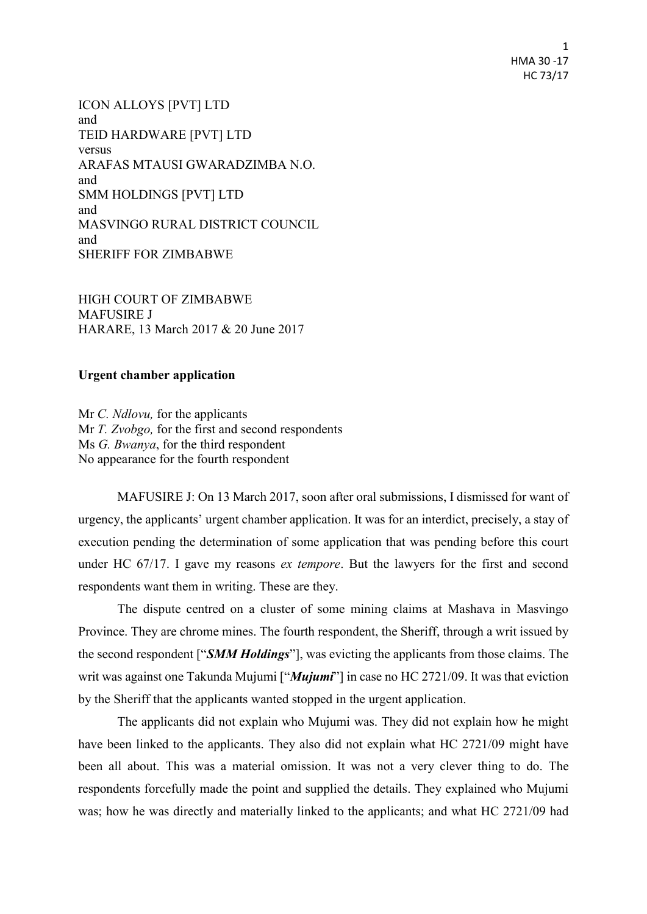1 HMA 30 -17 HC 73/17

ICON ALLOYS [PVT] LTD and TEID HARDWARE [PVT] LTD versus ARAFAS MTAUSI GWARADZIMBA N.O. and SMM HOLDINGS [PVT] LTD and MASVINGO RURAL DISTRICT COUNCIL and SHERIFF FOR ZIMBABWE

HIGH COURT OF ZIMBABWE MAFUSIRE J HARARE, 13 March 2017 & 20 June 2017

## **Urgent chamber application**

Mr *C. Ndlovu,* for the applicants Mr *T. Zvobgo,* for the first and second respondents Ms *G. Bwanya*, for the third respondent No appearance for the fourth respondent

MAFUSIRE J: On 13 March 2017, soon after oral submissions, I dismissed for want of urgency, the applicants' urgent chamber application. It was for an interdict, precisely, a stay of execution pending the determination of some application that was pending before this court under HC 67/17. I gave my reasons *ex tempore*. But the lawyers for the first and second respondents want them in writing. These are they.

The dispute centred on a cluster of some mining claims at Mashava in Masvingo Province. They are chrome mines. The fourth respondent, the Sheriff, through a writ issued by the second respondent ["*SMM Holdings*"], was evicting the applicants from those claims. The writ was against one Takunda Mujumi ["*Mujumi*"] in case no HC 2721/09. It was that eviction by the Sheriff that the applicants wanted stopped in the urgent application.

The applicants did not explain who Mujumi was. They did not explain how he might have been linked to the applicants. They also did not explain what HC 2721/09 might have been all about. This was a material omission. It was not a very clever thing to do. The respondents forcefully made the point and supplied the details. They explained who Mujumi was; how he was directly and materially linked to the applicants; and what HC 2721/09 had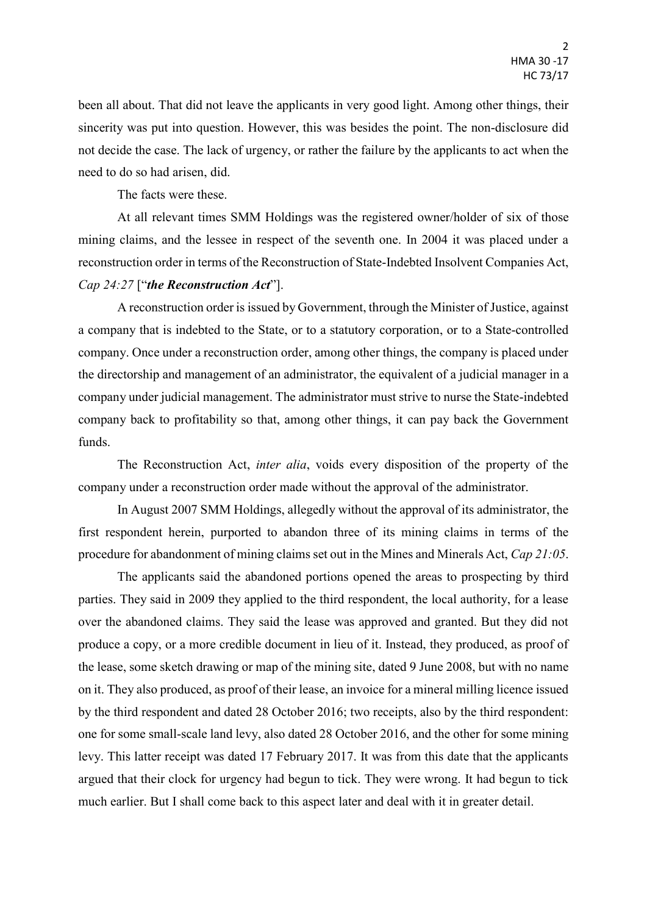been all about. That did not leave the applicants in very good light. Among other things, their sincerity was put into question. However, this was besides the point. The non-disclosure did not decide the case. The lack of urgency, or rather the failure by the applicants to act when the need to do so had arisen, did.

The facts were these.

At all relevant times SMM Holdings was the registered owner/holder of six of those mining claims, and the lessee in respect of the seventh one. In 2004 it was placed under a reconstruction order in terms of the Reconstruction of State-Indebted Insolvent Companies Act, *Cap 24:27* ["*the Reconstruction Act*"].

A reconstruction order is issued by Government, through the Minister of Justice, against a company that is indebted to the State, or to a statutory corporation, or to a State-controlled company. Once under a reconstruction order, among other things, the company is placed under the directorship and management of an administrator, the equivalent of a judicial manager in a company under judicial management. The administrator must strive to nurse the State-indebted company back to profitability so that, among other things, it can pay back the Government funds.

The Reconstruction Act, *inter alia*, voids every disposition of the property of the company under a reconstruction order made without the approval of the administrator.

In August 2007 SMM Holdings, allegedly without the approval of its administrator, the first respondent herein, purported to abandon three of its mining claims in terms of the procedure for abandonment of mining claims set out in the Mines and Minerals Act, *Cap 21:05*.

The applicants said the abandoned portions opened the areas to prospecting by third parties. They said in 2009 they applied to the third respondent, the local authority, for a lease over the abandoned claims. They said the lease was approved and granted. But they did not produce a copy, or a more credible document in lieu of it. Instead, they produced, as proof of the lease, some sketch drawing or map of the mining site, dated 9 June 2008, but with no name on it. They also produced, as proof of their lease, an invoice for a mineral milling licence issued by the third respondent and dated 28 October 2016; two receipts, also by the third respondent: one for some small-scale land levy, also dated 28 October 2016, and the other for some mining levy. This latter receipt was dated 17 February 2017. It was from this date that the applicants argued that their clock for urgency had begun to tick. They were wrong. It had begun to tick much earlier. But I shall come back to this aspect later and deal with it in greater detail.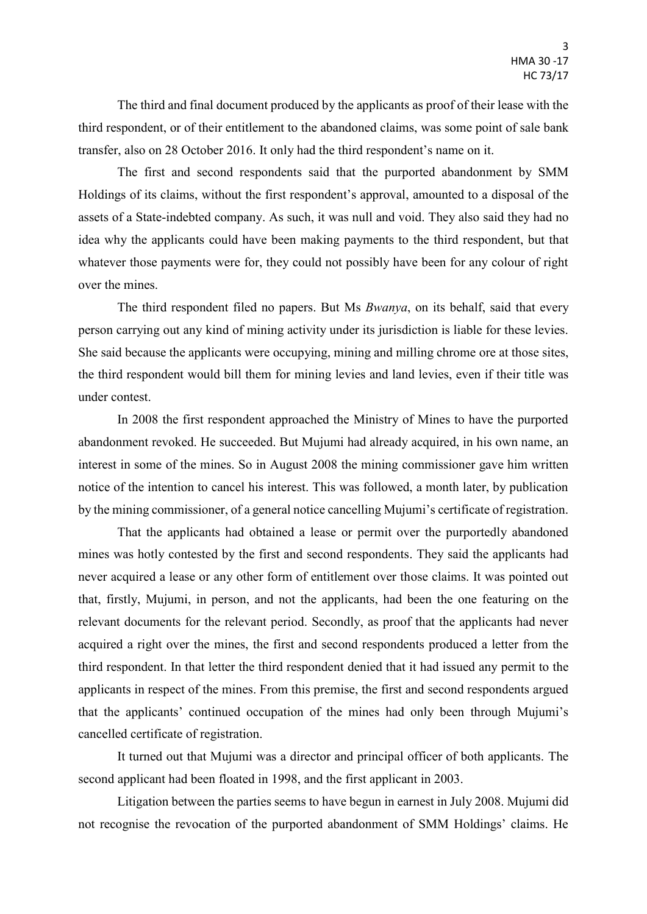The third and final document produced by the applicants as proof of their lease with the third respondent, or of their entitlement to the abandoned claims, was some point of sale bank transfer, also on 28 October 2016. It only had the third respondent's name on it.

The first and second respondents said that the purported abandonment by SMM Holdings of its claims, without the first respondent's approval, amounted to a disposal of the assets of a State-indebted company. As such, it was null and void. They also said they had no idea why the applicants could have been making payments to the third respondent, but that whatever those payments were for, they could not possibly have been for any colour of right over the mines.

The third respondent filed no papers. But Ms *Bwanya*, on its behalf, said that every person carrying out any kind of mining activity under its jurisdiction is liable for these levies. She said because the applicants were occupying, mining and milling chrome ore at those sites, the third respondent would bill them for mining levies and land levies, even if their title was under contest.

In 2008 the first respondent approached the Ministry of Mines to have the purported abandonment revoked. He succeeded. But Mujumi had already acquired, in his own name, an interest in some of the mines. So in August 2008 the mining commissioner gave him written notice of the intention to cancel his interest. This was followed, a month later, by publication by the mining commissioner, of a general notice cancelling Mujumi's certificate of registration.

That the applicants had obtained a lease or permit over the purportedly abandoned mines was hotly contested by the first and second respondents. They said the applicants had never acquired a lease or any other form of entitlement over those claims. It was pointed out that, firstly, Mujumi, in person, and not the applicants, had been the one featuring on the relevant documents for the relevant period. Secondly, as proof that the applicants had never acquired a right over the mines, the first and second respondents produced a letter from the third respondent. In that letter the third respondent denied that it had issued any permit to the applicants in respect of the mines. From this premise, the first and second respondents argued that the applicants' continued occupation of the mines had only been through Mujumi's cancelled certificate of registration.

It turned out that Mujumi was a director and principal officer of both applicants. The second applicant had been floated in 1998, and the first applicant in 2003.

Litigation between the parties seems to have begun in earnest in July 2008. Mujumi did not recognise the revocation of the purported abandonment of SMM Holdings' claims. He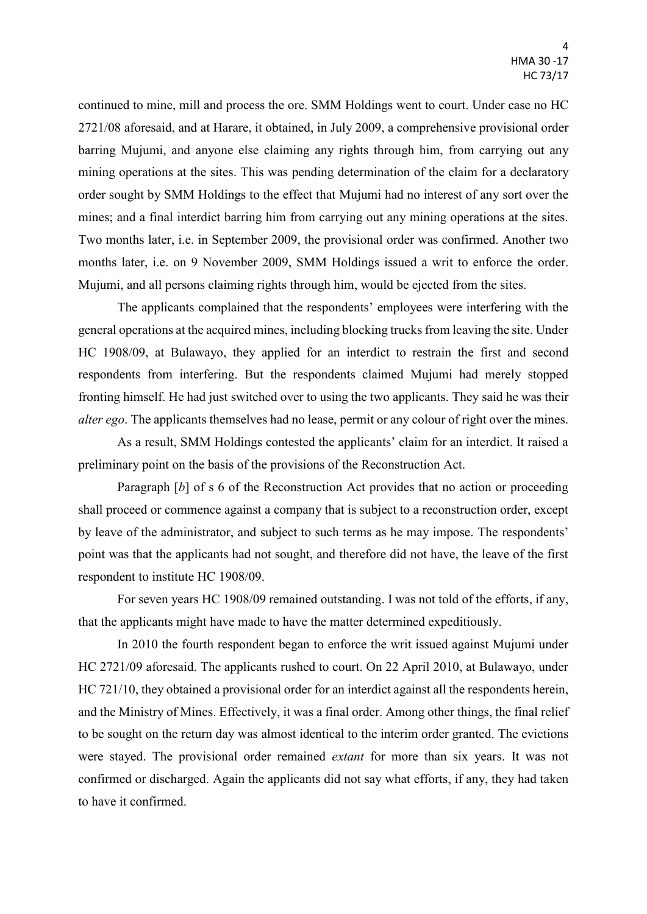continued to mine, mill and process the ore. SMM Holdings went to court. Under case no HC 2721/08 aforesaid, and at Harare, it obtained, in July 2009, a comprehensive provisional order barring Mujumi, and anyone else claiming any rights through him, from carrying out any mining operations at the sites. This was pending determination of the claim for a declaratory order sought by SMM Holdings to the effect that Mujumi had no interest of any sort over the mines; and a final interdict barring him from carrying out any mining operations at the sites. Two months later, i.e. in September 2009, the provisional order was confirmed. Another two months later, i.e. on 9 November 2009, SMM Holdings issued a writ to enforce the order. Mujumi, and all persons claiming rights through him, would be ejected from the sites.

The applicants complained that the respondents' employees were interfering with the general operations at the acquired mines, including blocking trucks from leaving the site. Under HC 1908/09, at Bulawayo, they applied for an interdict to restrain the first and second respondents from interfering. But the respondents claimed Mujumi had merely stopped fronting himself. He had just switched over to using the two applicants. They said he was their *alter ego*. The applicants themselves had no lease, permit or any colour of right over the mines.

As a result, SMM Holdings contested the applicants' claim for an interdict. It raised a preliminary point on the basis of the provisions of the Reconstruction Act.

Paragraph [b] of s 6 of the Reconstruction Act provides that no action or proceeding shall proceed or commence against a company that is subject to a reconstruction order, except by leave of the administrator, and subject to such terms as he may impose. The respondents' point was that the applicants had not sought, and therefore did not have, the leave of the first respondent to institute HC 1908/09.

For seven years HC 1908/09 remained outstanding. I was not told of the efforts, if any, that the applicants might have made to have the matter determined expeditiously.

In 2010 the fourth respondent began to enforce the writ issued against Mujumi under HC 2721/09 aforesaid. The applicants rushed to court. On 22 April 2010, at Bulawayo, under HC 721/10, they obtained a provisional order for an interdict against all the respondents herein, and the Ministry of Mines. Effectively, it was a final order. Among other things, the final relief to be sought on the return day was almost identical to the interim order granted. The evictions were stayed. The provisional order remained *extant* for more than six years. It was not confirmed or discharged. Again the applicants did not say what efforts, if any, they had taken to have it confirmed.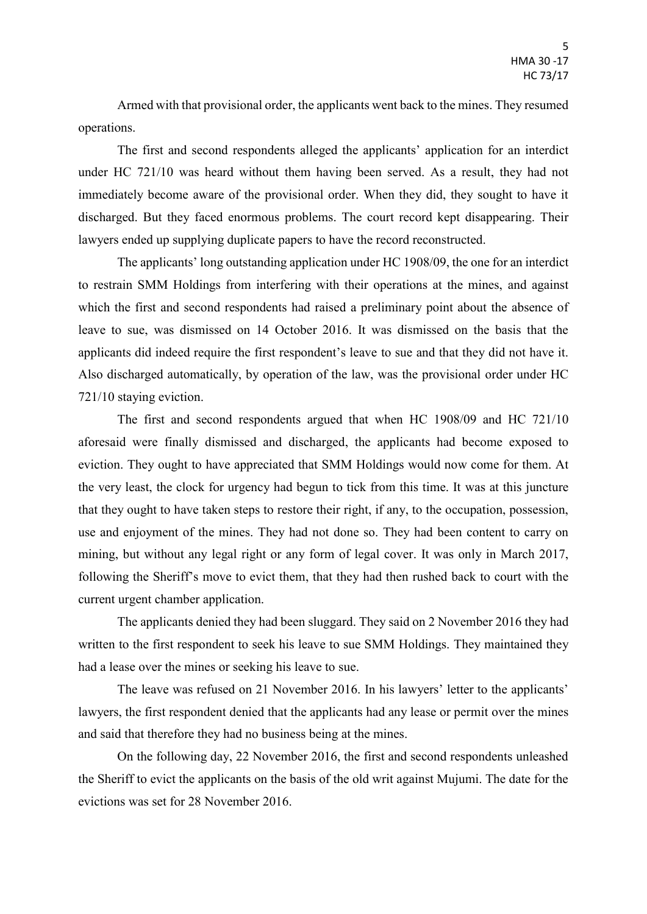Armed with that provisional order, the applicants went back to the mines. They resumed operations.

The first and second respondents alleged the applicants' application for an interdict under HC 721/10 was heard without them having been served. As a result, they had not immediately become aware of the provisional order. When they did, they sought to have it discharged. But they faced enormous problems. The court record kept disappearing. Their lawyers ended up supplying duplicate papers to have the record reconstructed.

The applicants' long outstanding application under HC 1908/09, the one for an interdict to restrain SMM Holdings from interfering with their operations at the mines, and against which the first and second respondents had raised a preliminary point about the absence of leave to sue, was dismissed on 14 October 2016. It was dismissed on the basis that the applicants did indeed require the first respondent's leave to sue and that they did not have it. Also discharged automatically, by operation of the law, was the provisional order under HC 721/10 staying eviction.

The first and second respondents argued that when HC 1908/09 and HC 721/10 aforesaid were finally dismissed and discharged, the applicants had become exposed to eviction. They ought to have appreciated that SMM Holdings would now come for them. At the very least, the clock for urgency had begun to tick from this time. It was at this juncture that they ought to have taken steps to restore their right, if any, to the occupation, possession, use and enjoyment of the mines. They had not done so. They had been content to carry on mining, but without any legal right or any form of legal cover. It was only in March 2017, following the Sheriff's move to evict them, that they had then rushed back to court with the current urgent chamber application.

The applicants denied they had been sluggard. They said on 2 November 2016 they had written to the first respondent to seek his leave to sue SMM Holdings. They maintained they had a lease over the mines or seeking his leave to sue.

The leave was refused on 21 November 2016. In his lawyers' letter to the applicants' lawyers, the first respondent denied that the applicants had any lease or permit over the mines and said that therefore they had no business being at the mines.

On the following day, 22 November 2016, the first and second respondents unleashed the Sheriff to evict the applicants on the basis of the old writ against Mujumi. The date for the evictions was set for 28 November 2016.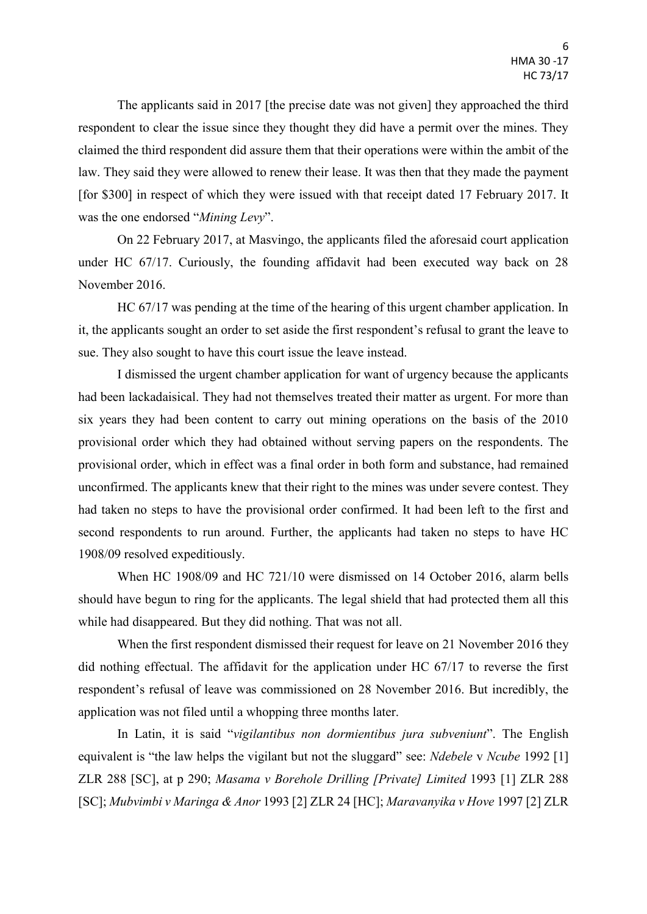The applicants said in 2017 [the precise date was not given] they approached the third respondent to clear the issue since they thought they did have a permit over the mines. They claimed the third respondent did assure them that their operations were within the ambit of the law. They said they were allowed to renew their lease. It was then that they made the payment [for \$300] in respect of which they were issued with that receipt dated 17 February 2017. It was the one endorsed "*Mining Levy*".

On 22 February 2017, at Masvingo, the applicants filed the aforesaid court application under HC 67/17. Curiously, the founding affidavit had been executed way back on 28 November 2016.

HC 67/17 was pending at the time of the hearing of this urgent chamber application. In it, the applicants sought an order to set aside the first respondent's refusal to grant the leave to sue. They also sought to have this court issue the leave instead.

I dismissed the urgent chamber application for want of urgency because the applicants had been lackadaisical. They had not themselves treated their matter as urgent. For more than six years they had been content to carry out mining operations on the basis of the 2010 provisional order which they had obtained without serving papers on the respondents. The provisional order, which in effect was a final order in both form and substance, had remained unconfirmed. The applicants knew that their right to the mines was under severe contest. They had taken no steps to have the provisional order confirmed. It had been left to the first and second respondents to run around. Further, the applicants had taken no steps to have HC 1908/09 resolved expeditiously.

When HC 1908/09 and HC 721/10 were dismissed on 14 October 2016, alarm bells should have begun to ring for the applicants. The legal shield that had protected them all this while had disappeared. But they did nothing. That was not all.

When the first respondent dismissed their request for leave on 21 November 2016 they did nothing effectual. The affidavit for the application under HC 67/17 to reverse the first respondent's refusal of leave was commissioned on 28 November 2016. But incredibly, the application was not filed until a whopping three months later.

In Latin, it is said "*vigilantibus non dormientibus jura subveniunt*". The English equivalent is "the law helps the vigilant but not the sluggard" see: *Ndebele* v *Ncube* 1992 [1] ZLR 288 [SC], at p 290; *Masama v Borehole Drilling [Private] Limited* 1993 [1] ZLR 288 [SC]; *Mubvimbi v Maringa & Anor* 1993 [2] ZLR 24 [HC]; *Maravanyika v Hove* 1997 [2] ZLR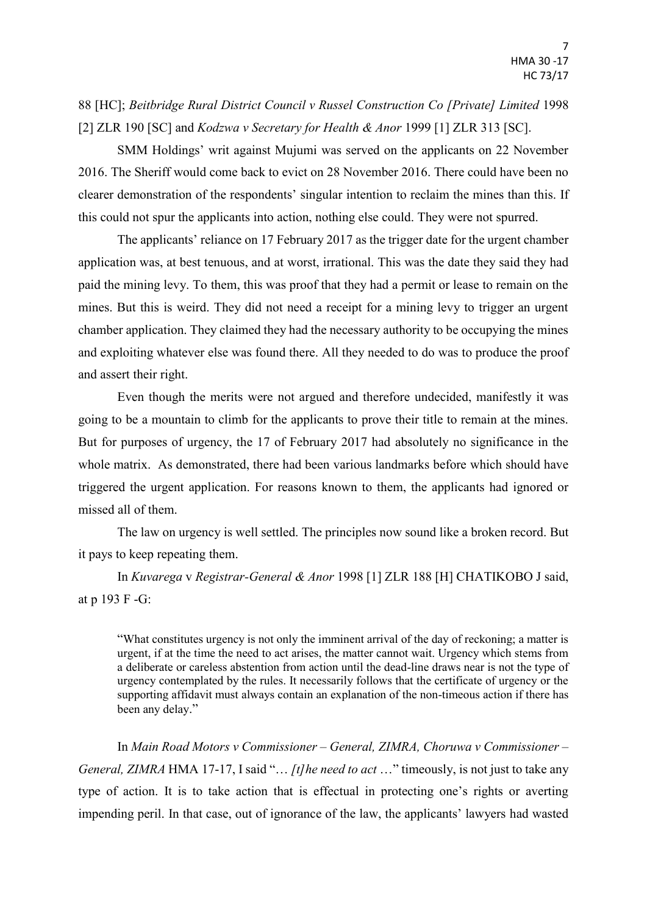## 88 [HC]; *Beitbridge Rural District Council v Russel Construction Co [Private] Limited* 1998 [2] ZLR 190 [SC] and *Kodzwa v Secretary for Health & Anor* 1999 [1] ZLR 313 [SC].

SMM Holdings' writ against Mujumi was served on the applicants on 22 November 2016. The Sheriff would come back to evict on 28 November 2016. There could have been no clearer demonstration of the respondents' singular intention to reclaim the mines than this. If this could not spur the applicants into action, nothing else could. They were not spurred.

The applicants' reliance on 17 February 2017 as the trigger date for the urgent chamber application was, at best tenuous, and at worst, irrational. This was the date they said they had paid the mining levy. To them, this was proof that they had a permit or lease to remain on the mines. But this is weird. They did not need a receipt for a mining levy to trigger an urgent chamber application. They claimed they had the necessary authority to be occupying the mines and exploiting whatever else was found there. All they needed to do was to produce the proof and assert their right.

Even though the merits were not argued and therefore undecided, manifestly it was going to be a mountain to climb for the applicants to prove their title to remain at the mines. But for purposes of urgency, the 17 of February 2017 had absolutely no significance in the whole matrix. As demonstrated, there had been various landmarks before which should have triggered the urgent application. For reasons known to them, the applicants had ignored or missed all of them.

The law on urgency is well settled. The principles now sound like a broken record. But it pays to keep repeating them.

In *Kuvarega* v *Registrar-General & Anor* 1998 [1] ZLR 188 [H] CHATIKOBO J said, at p 193 F -G:

"What constitutes urgency is not only the imminent arrival of the day of reckoning; a matter is urgent, if at the time the need to act arises, the matter cannot wait. Urgency which stems from a deliberate or careless abstention from action until the dead-line draws near is not the type of urgency contemplated by the rules. It necessarily follows that the certificate of urgency or the supporting affidavit must always contain an explanation of the non-timeous action if there has been any delay."

In *Main Road Motors v Commissioner – General, ZIMRA, Choruwa v Commissioner – General, ZIMRA* HMA 17-17, I said "… *[t]he need to act* …" timeously, is not just to take any type of action. It is to take action that is effectual in protecting one's rights or averting impending peril. In that case, out of ignorance of the law, the applicants' lawyers had wasted